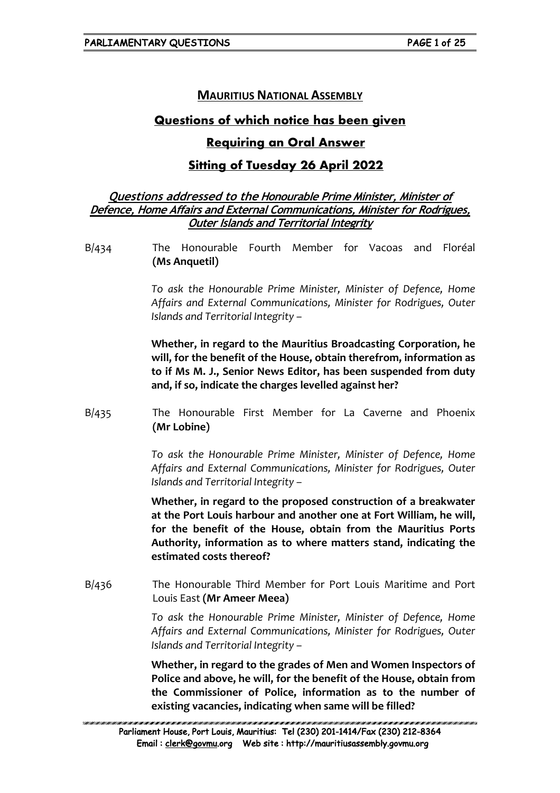# **MAURITIUS NATIONAL ASSEMBLY**

# **Questions of which notice has been given**

## **Requiring an Oral Answer**

# **Sitting of Tuesday 26 April 2022**

### **Questions addressed to the Honourable Prime Minister, Minister of Defence, Home Affairs and External Communications, Minister for Rodrigues, Outer Islands and Territorial Integrity**

B/434 The Honourable Fourth Member for Vacoas and Floréal **(Ms Anquetil)**

> *To ask the Honourable Prime Minister, Minister of Defence, Home Affairs and External Communications, Minister for Rodrigues, Outer Islands and Territorial Integrity –*

> **Whether, in regard to the Mauritius Broadcasting Corporation, he will, for the benefit of the House, obtain therefrom, information as to if Ms M. J., Senior News Editor, has been suspended from duty and, if so, indicate the charges levelled against her?**

B/435 The Honourable First Member for La Caverne and Phoenix **(Mr Lobine)**

> *To ask the Honourable Prime Minister, Minister of Defence, Home Affairs and External Communications, Minister for Rodrigues, Outer Islands and Territorial Integrity –*

> **Whether, in regard to the proposed construction of a breakwater at the Port Louis harbour and another one at Fort William, he will, for the benefit of the House, obtain from the Mauritius Ports Authority, information as to where matters stand, indicating the estimated costs thereof?**

B/436 The Honourable Third Member for Port Louis Maritime and Port Louis East **(Mr Ameer Meea)**

> *To ask the Honourable Prime Minister, Minister of Defence, Home Affairs and External Communications, Minister for Rodrigues, Outer Islands and Territorial Integrity –*

> **Whether, in regard to the grades of Men and Women Inspectors of Police and above, he will, for the benefit of the House, obtain from the Commissioner of Police, information as to the number of existing vacancies, indicating when same will be filled?**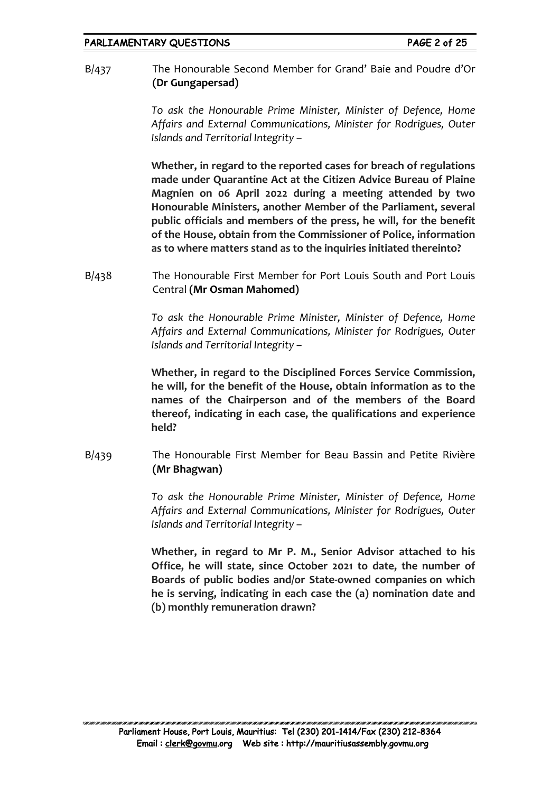B/437 The Honourable Second Member for Grand' Baie and Poudre d'Or **(Dr Gungapersad)**

> *To ask the Honourable Prime Minister, Minister of Defence, Home Affairs and External Communications, Minister for Rodrigues, Outer Islands and Territorial Integrity –*

> **Whether, in regard to the reported cases for breach of regulations made under Quarantine Act at the Citizen Advice Bureau of Plaine Magnien on 06 April 2022 during a meeting attended by two Honourable Ministers, another Member of the Parliament, several public officials and members of the press, he will, for the benefit of the House, obtain from the Commissioner of Police, information as to where matters stand as to the inquiries initiated thereinto?**

B/438 The Honourable First Member for Port Louis South and Port Louis Central **(Mr Osman Mahomed)**

> *To ask the Honourable Prime Minister, Minister of Defence, Home Affairs and External Communications, Minister for Rodrigues, Outer Islands and Territorial Integrity –*

> **Whether, in regard to the Disciplined Forces Service Commission, he will, for the benefit of the House, obtain information as to the names of the Chairperson and of the members of the Board thereof, indicating in each case, the qualifications and experience held?**

B/439 The Honourable First Member for Beau Bassin and Petite Rivière **(Mr Bhagwan)**

> *To ask the Honourable Prime Minister, Minister of Defence, Home Affairs and External Communications, Minister for Rodrigues, Outer Islands and Territorial Integrity –*

> **Whether, in regard to Mr P. M., Senior Advisor attached to his Office, he will state, since October 2021 to date, the number of Boards of public bodies and/or State-owned companies on which he is serving, indicating in each case the (a) nomination date and (b) monthly remuneration drawn?**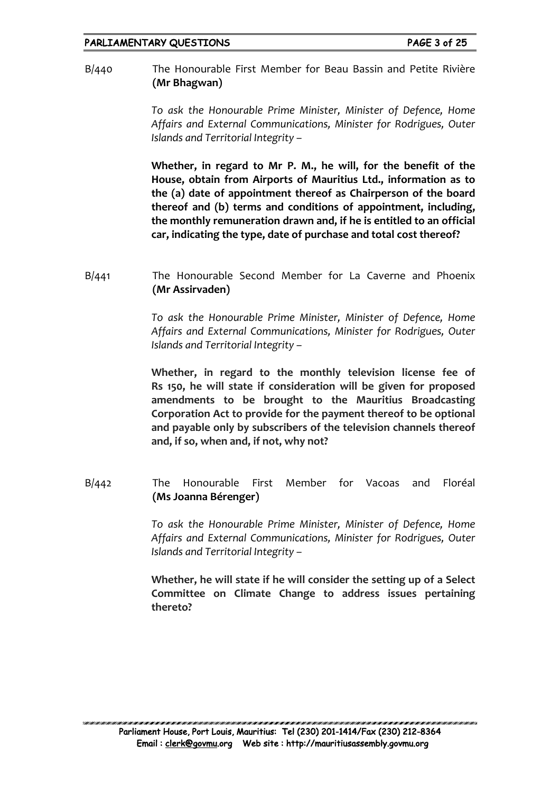B/440 The Honourable First Member for Beau Bassin and Petite Rivière **(Mr Bhagwan)**

> *To ask the Honourable Prime Minister, Minister of Defence, Home Affairs and External Communications, Minister for Rodrigues, Outer Islands and Territorial Integrity –*

> **Whether, in regard to Mr P. M., he will, for the benefit of the House, obtain from Airports of Mauritius Ltd., information as to the (a) date of appointment thereof as Chairperson of the board thereof and (b) terms and conditions of appointment, including, the monthly remuneration drawn and, if he is entitled to an official car, indicating the type, date of purchase and total cost thereof?**

B/441 The Honourable Second Member for La Caverne and Phoenix **(Mr Assirvaden)**

> *To ask the Honourable Prime Minister, Minister of Defence, Home Affairs and External Communications, Minister for Rodrigues, Outer Islands and Territorial Integrity –*

> **Whether, in regard to the monthly television license fee of Rs 150, he will state if consideration will be given for proposed amendments to be brought to the Mauritius Broadcasting Corporation Act to provide for the payment thereof to be optional and payable only by subscribers of the television channels thereof and, if so, when and, if not, why not?**

B/442 The Honourable First Member for Vacoas and Floréal **(Ms Joanna Bérenger)**

> *To ask the Honourable Prime Minister, Minister of Defence, Home Affairs and External Communications, Minister for Rodrigues, Outer Islands and Territorial Integrity –*

> **Whether, he will state if he will consider the setting up of a Select Committee on Climate Change to address issues pertaining thereto?**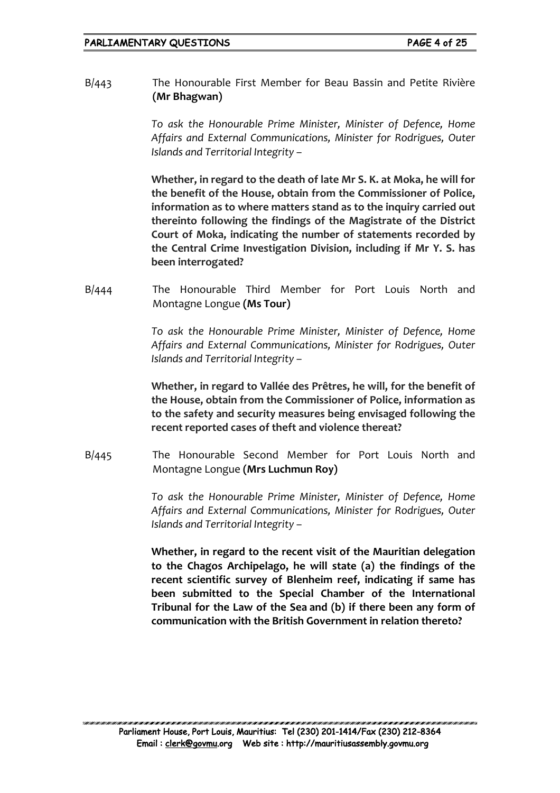B/443 The Honourable First Member for Beau Bassin and Petite Rivière **(Mr Bhagwan)**

> *To ask the Honourable Prime Minister, Minister of Defence, Home Affairs and External Communications, Minister for Rodrigues, Outer Islands and Territorial Integrity –*

> **Whether, in regard to the death of late Mr S. K. at Moka, he will for the benefit of the House, obtain from the Commissioner of Police, information as to where matters stand as to the inquiry carried out thereinto following the findings of the Magistrate of the District Court of Moka, indicating the number of statements recorded by the Central Crime Investigation Division, including if Mr Y. S. has been interrogated?**

B/444 The Honourable Third Member for Port Louis North and Montagne Longue **(Ms Tour)**

> *To ask the Honourable Prime Minister, Minister of Defence, Home Affairs and External Communications, Minister for Rodrigues, Outer Islands and Territorial Integrity –*

> **Whether, in regard to Vallée des Prêtres, he will, for the benefit of the House, obtain from the Commissioner of Police, information as to the safety and security measures being envisaged following the recent reported cases of theft and violence thereat?**

B/445 The Honourable Second Member for Port Louis North and Montagne Longue **(Mrs Luchmun Roy)**

> *To ask the Honourable Prime Minister, Minister of Defence, Home Affairs and External Communications, Minister for Rodrigues, Outer Islands and Territorial Integrity –*

> **Whether, in regard to the recent visit of the Mauritian delegation to the Chagos Archipelago, he will state (a) the findings of the recent scientific survey of Blenheim reef, indicating if same has been submitted to the Special Chamber of the International Tribunal for the Law of the Sea and (b) if there been any form of communication with the British Government in relation thereto?**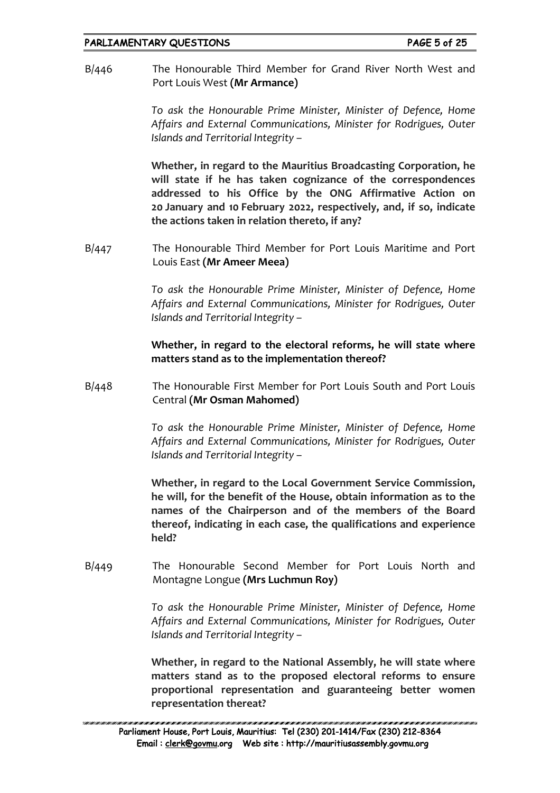B/446 The Honourable Third Member for Grand River North West and Port Louis West **(Mr Armance)**

> *To ask the Honourable Prime Minister, Minister of Defence, Home Affairs and External Communications, Minister for Rodrigues, Outer Islands and Territorial Integrity –*

> **Whether, in regard to the Mauritius Broadcasting Corporation, he will state if he has taken cognizance of the correspondences addressed to his Office by the ONG Affirmative Action on 20 January and 10 February 2022, respectively, and, if so, indicate the actions taken in relation thereto, if any?**

B/447 The Honourable Third Member for Port Louis Maritime and Port Louis East **(Mr Ameer Meea)**

> *To ask the Honourable Prime Minister, Minister of Defence, Home Affairs and External Communications, Minister for Rodrigues, Outer Islands and Territorial Integrity –*

> **Whether, in regard to the electoral reforms, he will state where matters stand as to the implementation thereof?**

B/448 The Honourable First Member for Port Louis South and Port Louis Central **(Mr Osman Mahomed)**

> *To ask the Honourable Prime Minister, Minister of Defence, Home Affairs and External Communications, Minister for Rodrigues, Outer Islands and Territorial Integrity –*

> **Whether, in regard to the Local Government Service Commission, he will, for the benefit of the House, obtain information as to the names of the Chairperson and of the members of the Board thereof, indicating in each case, the qualifications and experience held?**

B/449 The Honourable Second Member for Port Louis North and Montagne Longue **(Mrs Luchmun Roy)**

> *To ask the Honourable Prime Minister, Minister of Defence, Home Affairs and External Communications, Minister for Rodrigues, Outer Islands and Territorial Integrity –*

> **Whether, in regard to the National Assembly, he will state where matters stand as to the proposed electoral reforms to ensure proportional representation and guaranteeing better women representation thereat?**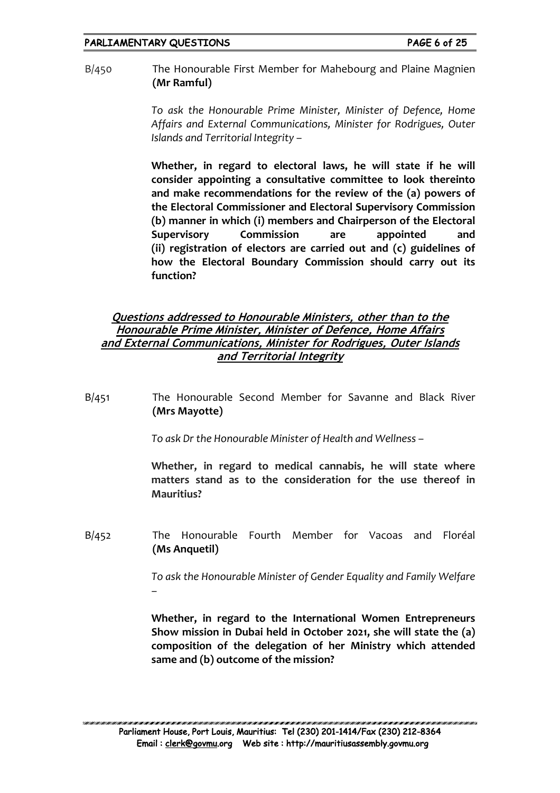B/450 The Honourable First Member for Mahebourg and Plaine Magnien **(Mr Ramful)**

> *To ask the Honourable Prime Minister, Minister of Defence, Home Affairs and External Communications, Minister for Rodrigues, Outer Islands and Territorial Integrity –*

> **Whether, in regard to electoral laws, he will state if he will consider appointing a consultative committee to look thereinto and make recommendations for the review of the (a) powers of the Electoral Commissioner and Electoral Supervisory Commission (b) manner in which (i) members and Chairperson of the Electoral Supervisory Commission are appointed and (ii) registration of electors are carried out and (c) guidelines of how the Electoral Boundary Commission should carry out its function?**

### **Questions addressed to Honourable Ministers, other than to the Honourable Prime Minister, Minister of Defence, Home Affairs and External Communications, Minister for Rodrigues, Outer Islands and Territorial Integrity**

B/451 The Honourable Second Member for Savanne and Black River **(Mrs Mayotte)**

*To ask Dr the Honourable Minister of Health and Wellness –*

**Whether, in regard to medical cannabis, he will state where matters stand as to the consideration for the use thereof in Mauritius?**

B/452 The Honourable Fourth Member for Vacoas and Floréal **(Ms Anquetil)**

> *To ask the Honourable Minister of Gender Equality and Family Welfare –*

> **Whether, in regard to the International Women Entrepreneurs Show mission in Dubai held in October 2021, she will state the (a) composition of the delegation of her Ministry which attended same and (b) outcome of the mission?**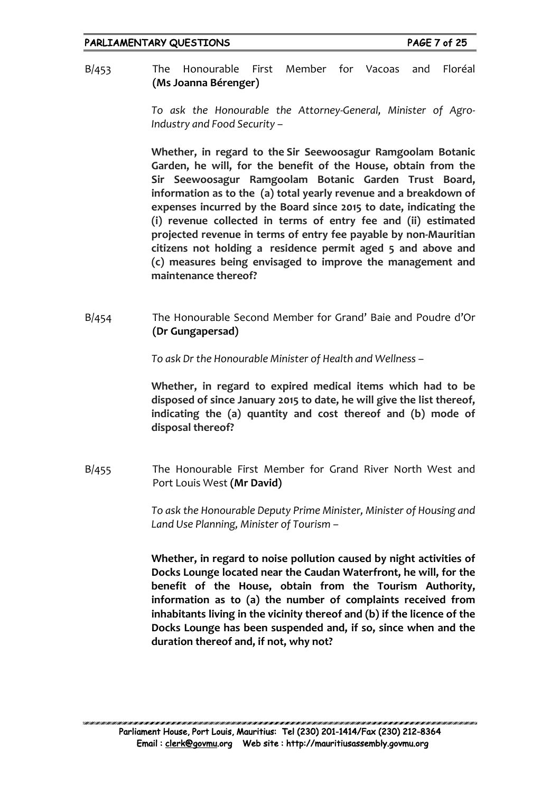B/453 The Honourable First Member for Vacoas and Floréal **(Ms Joanna Bérenger)**

> *To ask the Honourable the Attorney-General, Minister of Agro-Industry and Food Security –*

> **Whether, in regard to the Sir Seewoosagur Ramgoolam Botanic Garden, he will, for the benefit of the House, obtain from the Sir Seewoosagur Ramgoolam Botanic Garden Trust Board, information as to the (a) total yearly revenue and a breakdown of expenses incurred by the Board since 2015 to date, indicating the (i) revenue collected in terms of entry fee and (ii) estimated projected revenue in terms of entry fee payable by non-Mauritian citizens not holding a residence permit aged 5 and above and (c) measures being envisaged to improve the management and maintenance thereof?**

B/454 The Honourable Second Member for Grand' Baie and Poudre d'Or **(Dr Gungapersad)**

*To ask Dr the Honourable Minister of Health and Wellness –*

**Whether, in regard to expired medical items which had to be disposed of since January 2015 to date, he will give the list thereof, indicating the (a) quantity and cost thereof and (b) mode of disposal thereof?**

B/455 The Honourable First Member for Grand River North West and Port Louis West **(Mr David)**

> *To ask the Honourable Deputy Prime Minister, Minister of Housing and Land Use Planning, Minister of Tourism –*

> **Whether, in regard to noise pollution caused by night activities of Docks Lounge located near the Caudan Waterfront, he will, for the benefit of the House, obtain from the Tourism Authority, information as to (a) the number of complaints received from inhabitants living in the vicinity thereof and (b) if the licence of the Docks Lounge has been suspended and, if so, since when and the duration thereof and, if not, why not?**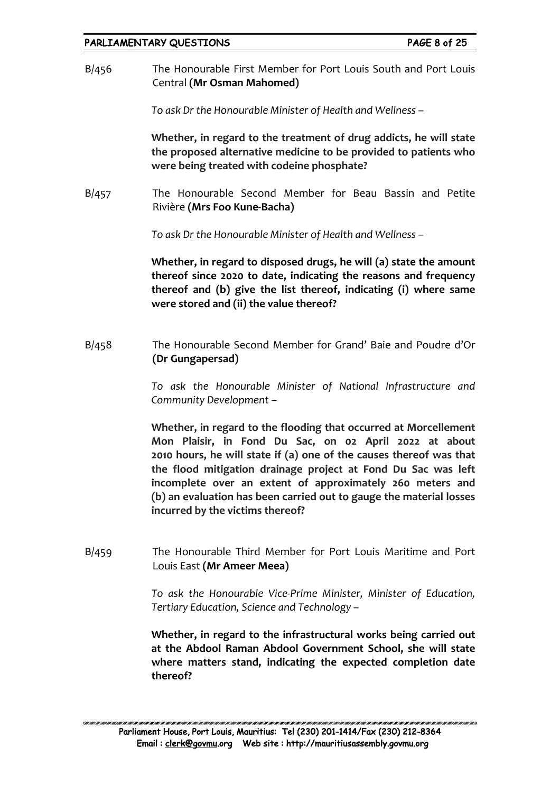B/456 The Honourable First Member for Port Louis South and Port Louis Central **(Mr Osman Mahomed)**

*To ask Dr the Honourable Minister of Health and Wellness –*

**Whether, in regard to the treatment of drug addicts, he will state the proposed alternative medicine to be provided to patients who were being treated with codeine phosphate?**

B/457 The Honourable Second Member for Beau Bassin and Petite Rivière **(Mrs Foo Kune-Bacha)**

*To ask Dr the Honourable Minister of Health and Wellness –*

**Whether, in regard to disposed drugs, he will (a) state the amount thereof since 2020 to date, indicating the reasons and frequency thereof and (b) give the list thereof, indicating (i) where same were stored and (ii) the value thereof?**

B/458 The Honourable Second Member for Grand' Baie and Poudre d'Or **(Dr Gungapersad)**

> *To ask the Honourable Minister of National Infrastructure and Community Development –*

> **Whether, in regard to the flooding that occurred at Morcellement Mon Plaisir, in Fond Du Sac, on 02 April 2022 at about 2010 hours, he will state if (a) one of the causes thereof was that the flood mitigation drainage project at Fond Du Sac was left incomplete over an extent of approximately 260 meters and (b) an evaluation has been carried out to gauge the material losses incurred by the victims thereof?**

B/459 The Honourable Third Member for Port Louis Maritime and Port Louis East **(Mr Ameer Meea)**

> *To ask the Honourable Vice-Prime Minister, Minister of Education, Tertiary Education, Science and Technology –*

> **Whether, in regard to the infrastructural works being carried out at the Abdool Raman Abdool Government School, she will state where matters stand, indicating the expected completion date thereof?**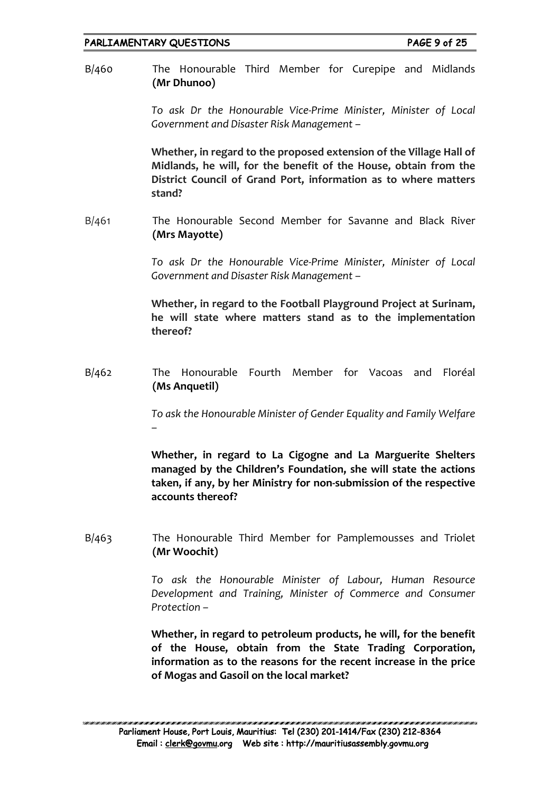B/460 The Honourable Third Member for Curepipe and Midlands **(Mr Dhunoo)**

> *To ask Dr the Honourable Vice-Prime Minister, Minister of Local Government and Disaster Risk Management –*

> **Whether, in regard to the proposed extension of the Village Hall of Midlands, he will, for the benefit of the House, obtain from the District Council of Grand Port, information as to where matters stand?**

B/461 The Honourable Second Member for Savanne and Black River **(Mrs Mayotte)**

> *To ask Dr the Honourable Vice-Prime Minister, Minister of Local Government and Disaster Risk Management –*

> **Whether, in regard to the Football Playground Project at Surinam, he will state where matters stand as to the implementation thereof?**

B/462 The Honourable Fourth Member for Vacoas and Floréal **(Ms Anquetil)**

> *To ask the Honourable Minister of Gender Equality and Family Welfare –*

> **Whether, in regard to La Cigogne and La Marguerite Shelters managed by the Children's Foundation, she will state the actions taken, if any, by her Ministry for non-submission of the respective accounts thereof?**

B/463 The Honourable Third Member for Pamplemousses and Triolet **(Mr Woochit)**

> *To ask the Honourable Minister of Labour, Human Resource Development and Training, Minister of Commerce and Consumer Protection –*

> **Whether, in regard to petroleum products, he will, for the benefit of the House, obtain from the State Trading Corporation, information as to the reasons for the recent increase in the price of Mogas and Gasoil on the local market?**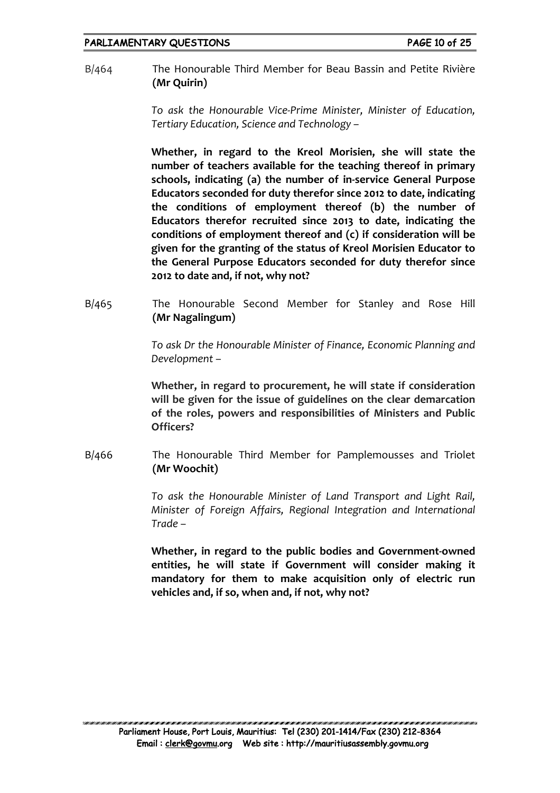B/464 The Honourable Third Member for Beau Bassin and Petite Rivière **(Mr Quirin)**

> *To ask the Honourable Vice-Prime Minister, Minister of Education, Tertiary Education, Science and Technology –*

> **Whether, in regard to the Kreol Morisien, she will state the number of teachers available for the teaching thereof in primary schools, indicating (a) the number of in-service General Purpose Educators seconded for duty therefor since 2012 to date, indicating the conditions of employment thereof (b) the number of Educators therefor recruited since 2013 to date, indicating the conditions of employment thereof and (c) if consideration will be given for the granting of the status of Kreol Morisien Educator to the General Purpose Educators seconded for duty therefor since 2012 to date and, if not, why not?**

B/465 The Honourable Second Member for Stanley and Rose Hill **(Mr Nagalingum)**

> *To ask Dr the Honourable Minister of Finance, Economic Planning and Development –*

> **Whether, in regard to procurement, he will state if consideration will be given for the issue of guidelines on the clear demarcation of the roles, powers and responsibilities of Ministers and Public Officers?**

B/466 The Honourable Third Member for Pamplemousses and Triolet **(Mr Woochit)**

> *To ask the Honourable Minister of Land Transport and Light Rail, Minister of Foreign Affairs, Regional Integration and International Trade –*

> **Whether, in regard to the public bodies and Government-owned entities, he will state if Government will consider making it mandatory for them to make acquisition only of electric run vehicles and, if so, when and, if not, why not?**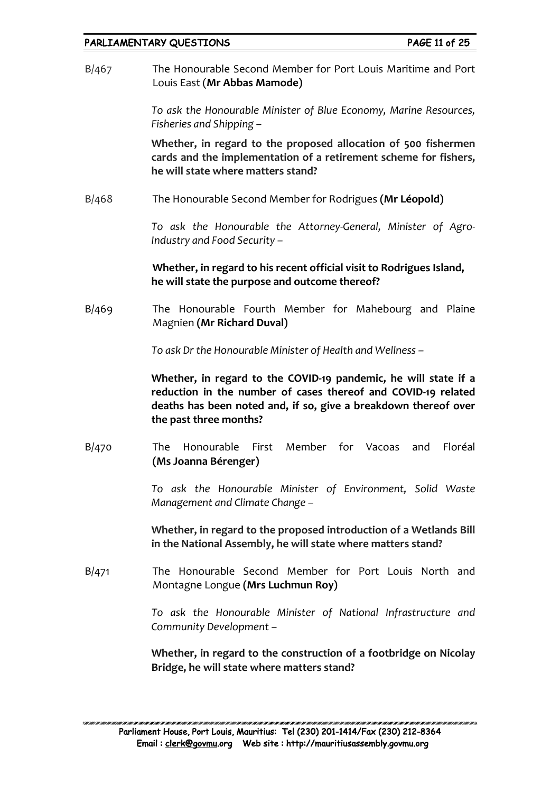B/467 The Honourable Second Member for Port Louis Maritime and Port Louis East (**Mr Abbas Mamode)**

> *To ask the Honourable Minister of Blue Economy, Marine Resources, Fisheries and Shipping –*

> **Whether, in regard to the proposed allocation of 500 fishermen cards and the implementation of a retirement scheme for fishers, he will state where matters stand?**

B/468 The Honourable Second Member for Rodrigues **(Mr Léopold)**

*To ask the Honourable the Attorney-General, Minister of Agro-Industry and Food Security –*

**Whether, in regard to his recent official visit to Rodrigues Island, he will state the purpose and outcome thereof?**

B/469 The Honourable Fourth Member for Mahebourg and Plaine Magnien **(Mr Richard Duval)**

*To ask Dr the Honourable Minister of Health and Wellness –*

**Whether, in regard to the COVID-19 pandemic, he will state if a reduction in the number of cases thereof and COVID-19 related deaths has been noted and, if so, give a breakdown thereof over the past three months?**

B/470 The Honourable First Member for Vacoas and Floréal **(Ms Joanna Bérenger)**

> *To ask the Honourable Minister of Environment, Solid Waste Management and Climate Change –*

> **Whether, in regard to the proposed introduction of a Wetlands Bill in the National Assembly, he will state where matters stand?**

B/471 The Honourable Second Member for Port Louis North and Montagne Longue **(Mrs Luchmun Roy)**

> *To ask the Honourable Minister of National Infrastructure and Community Development –*

> **Whether, in regard to the construction of a footbridge on Nicolay Bridge, he will state where matters stand?**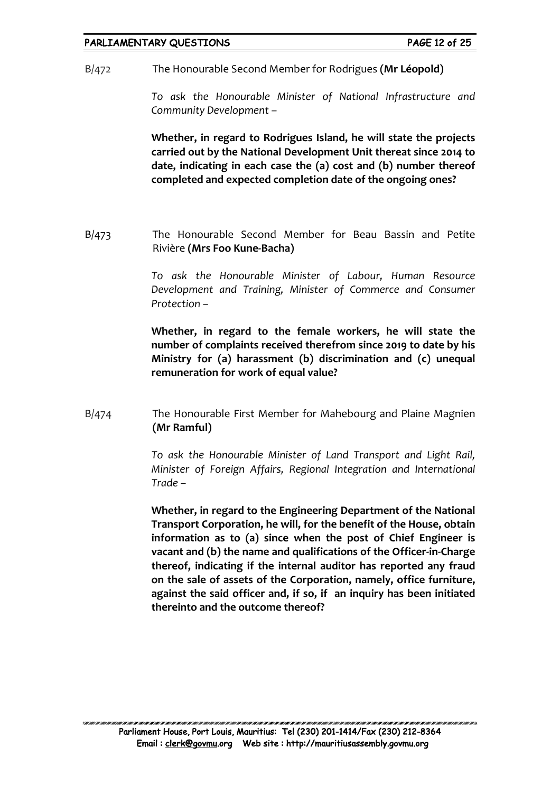B/472 The Honourable Second Member for Rodrigues **(Mr Léopold)**

*To ask the Honourable Minister of National Infrastructure and Community Development –*

**Whether, in regard to Rodrigues Island, he will state the projects carried out by the National Development Unit thereat since 2014 to date, indicating in each case the (a) cost and (b) number thereof completed and expected completion date of the ongoing ones?**

B/473 The Honourable Second Member for Beau Bassin and Petite Rivière **(Mrs Foo Kune-Bacha)**

> *To ask the Honourable Minister of Labour, Human Resource Development and Training, Minister of Commerce and Consumer Protection –*

> **Whether, in regard to the female workers, he will state the number of complaints received therefrom since 2019 to date by his Ministry for (a) harassment (b) discrimination and (c) unequal remuneration for work of equal value?**

B/474 The Honourable First Member for Mahebourg and Plaine Magnien **(Mr Ramful)**

> *To ask the Honourable Minister of Land Transport and Light Rail, Minister of Foreign Affairs, Regional Integration and International Trade –*

> **Whether, in regard to the Engineering Department of the National Transport Corporation, he will, for the benefit of the House, obtain information as to (a) since when the post of Chief Engineer is vacant and (b) the name and qualifications of the Officer-in-Charge thereof, indicating if the internal auditor has reported any fraud on the sale of assets of the Corporation, namely, office furniture, against the said officer and, if so, if an inquiry has been initiated thereinto and the outcome thereof?**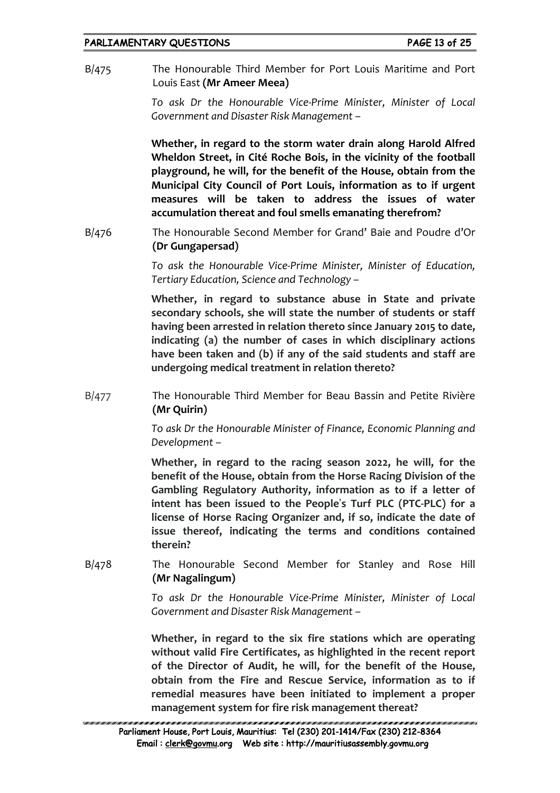B/475 The Honourable Third Member for Port Louis Maritime and Port Louis East **(Mr Ameer Meea)**

> *To ask Dr the Honourable Vice-Prime Minister, Minister of Local Government and Disaster Risk Management –*

> **Whether, in regard to the storm water drain along Harold Alfred Wheldon Street, in Cité Roche Bois, in the vicinity of the football playground, he will, for the benefit of the House, obtain from the Municipal City Council of Port Louis, information as to if urgent measures will be taken to address the issues of water accumulation thereat and foul smells emanating therefrom?**

B/476 The Honourable Second Member for Grand' Baie and Poudre d'Or **(Dr Gungapersad)**

> *To ask the Honourable Vice-Prime Minister, Minister of Education, Tertiary Education, Science and Technology –*

> **Whether, in regard to substance abuse in State and private secondary schools, she will state the number of students or staff having been arrested in relation thereto since January 2015 to date, indicating (a) the number of cases in which disciplinary actions have been taken and (b) if any of the said students and staff are undergoing medical treatment in relation thereto?**

B/477 The Honourable Third Member for Beau Bassin and Petite Rivière **(Mr Quirin)**

> *To ask Dr the Honourable Minister of Finance, Economic Planning and Development –*

> **Whether, in regard to the racing season 2022, he will, for the benefit of the House, obtain from the Horse Racing Division of the Gambling Regulatory Authority, information as to if a letter of intent has been issued to the People**'**s Turf PLC (PTC-PLC) for a license of Horse Racing Organizer and, if so, indicate the date of issue thereof, indicating the terms and conditions contained therein?**

B/478 The Honourable Second Member for Stanley and Rose Hill **(Mr Nagalingum)**

> *To ask Dr the Honourable Vice-Prime Minister, Minister of Local Government and Disaster Risk Management –*

> **Whether, in regard to the six fire stations which are operating without valid Fire Certificates, as highlighted in the recent report of the Director of Audit, he will, for the benefit of the House, obtain from the Fire and Rescue Service, information as to if remedial measures have been initiated to implement a proper management system for fire risk management thereat?**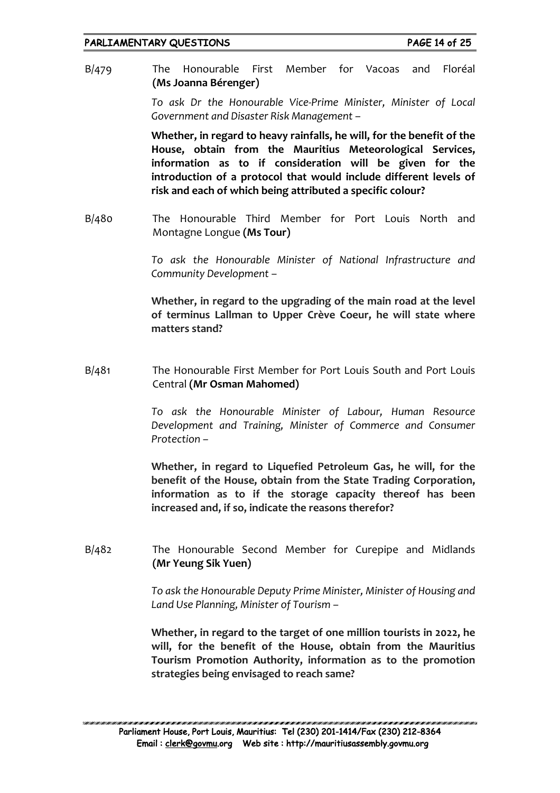B/479 The Honourable First Member for Vacoas and Floréal **(Ms Joanna Bérenger)**

> *To ask Dr the Honourable Vice-Prime Minister, Minister of Local Government and Disaster Risk Management –*

> **Whether, in regard to heavy rainfalls, he will, for the benefit of the House, obtain from the Mauritius Meteorological Services, information as to if consideration will be given for the introduction of a protocol that would include different levels of risk and each of which being attributed a specific colour?**

B/480 The Honourable Third Member for Port Louis North and Montagne Longue **(Ms Tour)**

> *To ask the Honourable Minister of National Infrastructure and Community Development –*

> **Whether, in regard to the upgrading of the main road at the level of terminus Lallman to Upper Crève Coeur, he will state where matters stand?**

B/481 The Honourable First Member for Port Louis South and Port Louis Central **(Mr Osman Mahomed)**

> *To ask the Honourable Minister of Labour, Human Resource Development and Training, Minister of Commerce and Consumer Protection –*

> **Whether, in regard to Liquefied Petroleum Gas, he will, for the benefit of the House, obtain from the State Trading Corporation, information as to if the storage capacity thereof has been increased and, if so, indicate the reasons therefor?**

B/482 The Honourable Second Member for Curepipe and Midlands **(Mr Yeung Sik Yuen)**

> *To ask the Honourable Deputy Prime Minister, Minister of Housing and Land Use Planning, Minister of Tourism –*

> **Whether, in regard to the target of one million tourists in 2022, he will, for the benefit of the House, obtain from the Mauritius Tourism Promotion Authority, information as to the promotion strategies being envisaged to reach same?**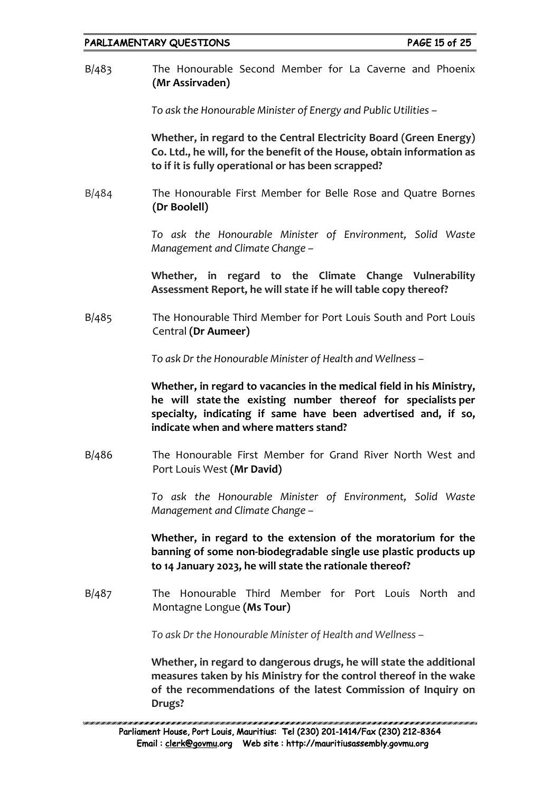B/483 The Honourable Second Member for La Caverne and Phoenix **(Mr Assirvaden)**

*To ask the Honourable Minister of Energy and Public Utilities –*

**Whether, in regard to the Central Electricity Board (Green Energy) Co. Ltd., he will, for the benefit of the House, obtain information as to if it is fully operational or has been scrapped?**

B/484 The Honourable First Member for Belle Rose and Quatre Bornes **(Dr Boolell)**

> *To ask the Honourable Minister of Environment, Solid Waste Management and Climate Change –*

> **Whether, in regard to the Climate Change Vulnerability Assessment Report, he will state if he will table copy thereof?**

B/485 The Honourable Third Member for Port Louis South and Port Louis Central **(Dr Aumeer)**

*To ask Dr the Honourable Minister of Health and Wellness –*

**Whether, in regard to vacancies in the medical field in his Ministry, he will state the existing number thereof for specialists per specialty, indicating if same have been advertised and, if so, indicate when and where matters stand?**

B/486 The Honourable First Member for Grand River North West and Port Louis West **(Mr David)**

> *To ask the Honourable Minister of Environment, Solid Waste Management and Climate Change –*

> **Whether, in regard to the extension of the moratorium for the banning of some non-biodegradable single use plastic products up to 14 January 2023, he will state the rationale thereof?**

B/487 The Honourable Third Member for Port Louis North and Montagne Longue **(Ms Tour)**

*To ask Dr the Honourable Minister of Health and Wellness –*

**Whether, in regard to dangerous drugs, he will state the additional measures taken by his Ministry for the control thereof in the wake of the recommendations of the latest Commission of Inquiry on Drugs?**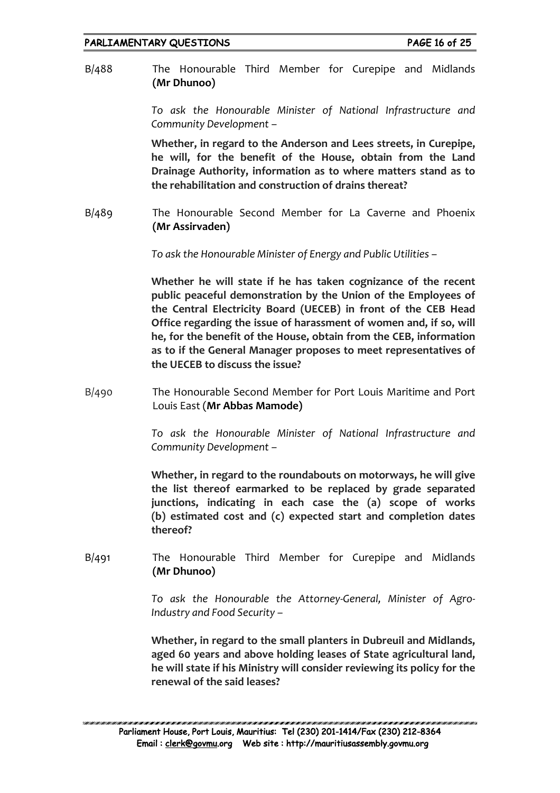B/488 The Honourable Third Member for Curepipe and Midlands **(Mr Dhunoo)**

> *To ask the Honourable Minister of National Infrastructure and Community Development –*

> **Whether, in regard to the Anderson and Lees streets, in Curepipe, he will, for the benefit of the House, obtain from the Land Drainage Authority, information as to where matters stand as to the rehabilitation and construction of drains thereat?**

B/489 The Honourable Second Member for La Caverne and Phoenix **(Mr Assirvaden)**

*To ask the Honourable Minister of Energy and Public Utilities –*

**Whether he will state if he has taken cognizance of the recent public peaceful demonstration by the Union of the Employees of the Central Electricity Board (UECEB) in front of the CEB Head Office regarding the issue of harassment of women and, if so, will he, for the benefit of the House, obtain from the CEB, information as to if the General Manager proposes to meet representatives of the UECEB to discuss the issue?**

B/490 The Honourable Second Member for Port Louis Maritime and Port Louis East (**Mr Abbas Mamode)**

> *To ask the Honourable Minister of National Infrastructure and Community Development –*

> **Whether, in regard to the roundabouts on motorways, he will give the list thereof earmarked to be replaced by grade separated junctions, indicating in each case the (a) scope of works (b) estimated cost and (c) expected start and completion dates thereof?**

B/491 The Honourable Third Member for Curepipe and Midlands **(Mr Dhunoo)**

> *To ask the Honourable the Attorney-General, Minister of Agro-Industry and Food Security –*

> **Whether, in regard to the small planters in Dubreuil and Midlands, aged 60 years and above holding leases of State agricultural land, he will state if his Ministry will consider reviewing its policy for the renewal of the said leases?**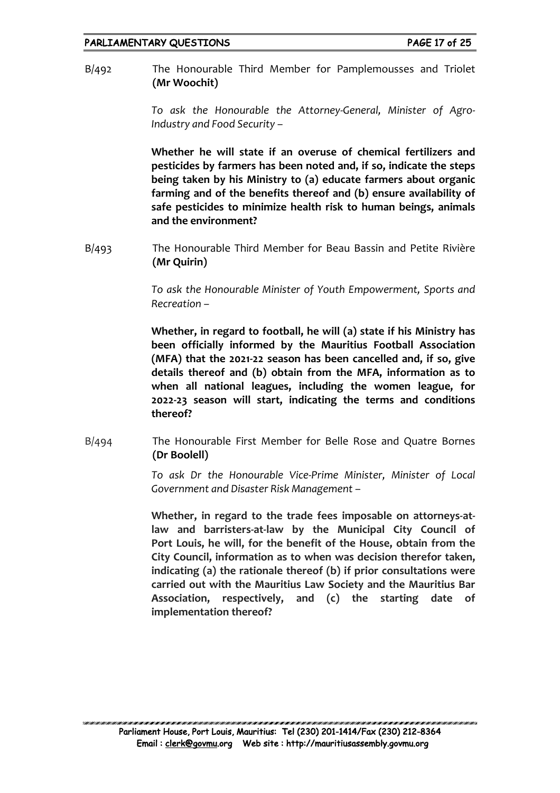B/492 The Honourable Third Member for Pamplemousses and Triolet **(Mr Woochit)**

> *To ask the Honourable the Attorney-General, Minister of Agro-Industry and Food Security –*

> **Whether he will state if an overuse of chemical fertilizers and pesticides by farmers has been noted and, if so, indicate the steps being taken by his Ministry to (a) educate farmers about organic farming and of the benefits thereof and (b) ensure availability of safe pesticides to minimize health risk to human beings, animals and the environment?**

B/493 The Honourable Third Member for Beau Bassin and Petite Rivière **(Mr Quirin)**

> *To ask the Honourable Minister of Youth Empowerment, Sports and Recreation –*

> **Whether, in regard to football, he will (a) state if his Ministry has been officially informed by the Mauritius Football Association (MFA) that the 2021-22 season has been cancelled and, if so, give details thereof and (b) obtain from the MFA, information as to when all national leagues, including the women league, for 2022-23 season will start, indicating the terms and conditions thereof?**

B/494 The Honourable First Member for Belle Rose and Quatre Bornes **(Dr Boolell)**

> *To ask Dr the Honourable Vice-Prime Minister, Minister of Local Government and Disaster Risk Management –*

> **Whether, in regard to the trade fees imposable on attorneys-atlaw and barristers-at-law by the Municipal City Council of Port Louis, he will, for the benefit of the House, obtain from the City Council, information as to when was decision therefor taken, indicating (a) the rationale thereof (b) if prior consultations were carried out with the Mauritius Law Society and the Mauritius Bar Association, respectively, and (c) the starting date of implementation thereof?**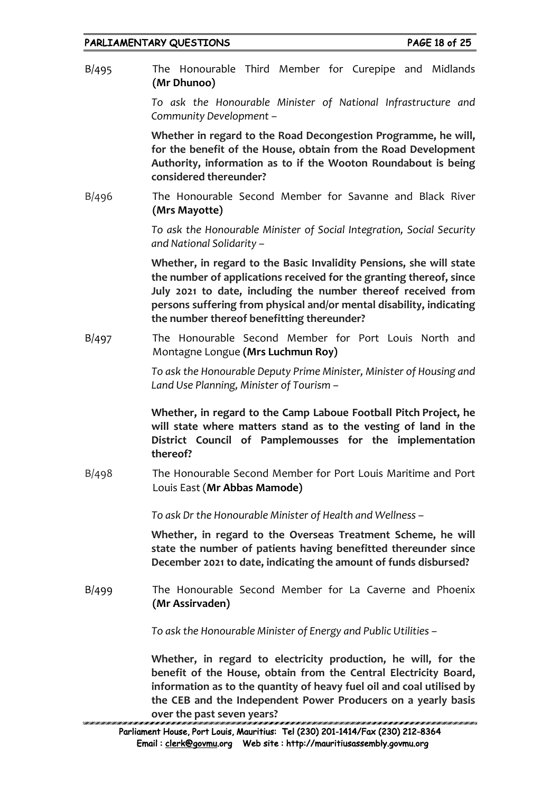PARLIAMENTARY QUESTIONS **PARLIAMENTARY** QUESTIONS B/495 The Honourable Third Member for Curepipe and Midlands **(Mr Dhunoo)** *To ask the Honourable Minister of National Infrastructure and Community Development –* **Whether in regard to the Road Decongestion Programme, he will, for the benefit of the House, obtain from the Road Development Authority, information as to if the Wooton Roundabout is being considered thereunder?** B/496 The Honourable Second Member for Savanne and Black River **(Mrs Mayotte)** *To ask the Honourable Minister of Social Integration, Social Security and National Solidarity –* **Whether, in regard to the Basic Invalidity Pensions, she will state the number of applications received for the granting thereof, since July 2021 to date, including the number thereof received from persons suffering from physical and/or mental disability, indicating the number thereof benefitting thereunder?** B/497 The Honourable Second Member for Port Louis North and Montagne Longue **(Mrs Luchmun Roy)** *To ask the Honourable Deputy Prime Minister, Minister of Housing and Land Use Planning, Minister of Tourism –* **Whether, in regard to the Camp Laboue Football Pitch Project, he will state where matters stand as to the vesting of land in the District Council of Pamplemousses for the implementation thereof?** B/498 The Honourable Second Member for Port Louis Maritime and Port Louis East (**Mr Abbas Mamode)** *To ask Dr the Honourable Minister of Health and Wellness –* **Whether, in regard to the Overseas Treatment Scheme, he will state the number of patients having benefitted thereunder since December 2021 to date, indicating the amount of funds disbursed?** B/499 The Honourable Second Member for La Caverne and Phoenix **(Mr Assirvaden)** *To ask the Honourable Minister of Energy and Public Utilities –* **Whether, in regard to electricity production, he will, for the benefit of the House, obtain from the Central Electricity Board, information as to the quantity of heavy fuel oil and coal utilised by the CEB and the Independent Power Producers on a yearly basis** 

**over the past seven years?**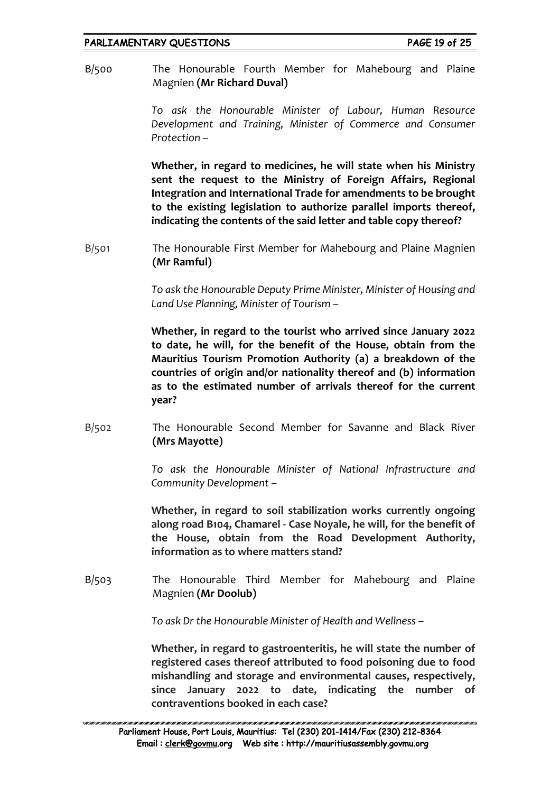B/500 The Honourable Fourth Member for Mahebourg and Plaine Magnien **(Mr Richard Duval)**

> *To ask the Honourable Minister of Labour, Human Resource Development and Training, Minister of Commerce and Consumer Protection –*

> **Whether, in regard to medicines, he will state when his Ministry sent the request to the Ministry of Foreign Affairs, Regional Integration and International Trade for amendments to be brought to the existing legislation to authorize parallel imports thereof, indicating the contents of the said letter and table copy thereof?**

B/501 The Honourable First Member for Mahebourg and Plaine Magnien **(Mr Ramful)**

> *To ask the Honourable Deputy Prime Minister, Minister of Housing and Land Use Planning, Minister of Tourism –*

> **Whether, in regard to the tourist who arrived since January 2022 to date, he will, for the benefit of the House, obtain from the Mauritius Tourism Promotion Authority (a) a breakdown of the countries of origin and/or nationality thereof and (b) information as to the estimated number of arrivals thereof for the current year?**

B/502 The Honourable Second Member for Savanne and Black River **(Mrs Mayotte)**

> *To ask the Honourable Minister of National Infrastructure and Community Development –*

> **Whether, in regard to soil stabilization works currently ongoing along road B104, Chamarel - Case Noyale, he will, for the benefit of the House, obtain from the Road Development Authority, information as to where matters stand?**

B/503 The Honourable Third Member for Mahebourg and Plaine Magnien **(Mr Doolub)**

*To ask Dr the Honourable Minister of Health and Wellness –*

**Whether, in regard to gastroenteritis, he will state the number of registered cases thereof attributed to food poisoning due to food mishandling and storage and environmental causes, respectively, since January 2022 to date, indicating the number of contraventions booked in each case?**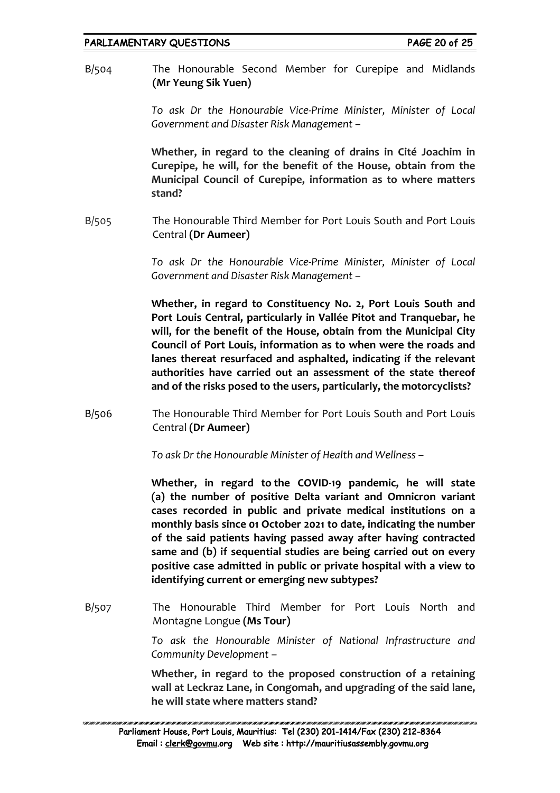B/504 The Honourable Second Member for Curepipe and Midlands **(Mr Yeung Sik Yuen)**

> *To ask Dr the Honourable Vice-Prime Minister, Minister of Local Government and Disaster Risk Management –*

> **Whether, in regard to the cleaning of drains in Cité Joachim in Curepipe, he will, for the benefit of the House, obtain from the Municipal Council of Curepipe, information as to where matters stand?**

B/505 The Honourable Third Member for Port Louis South and Port Louis Central **(Dr Aumeer)**

> *To ask Dr the Honourable Vice-Prime Minister, Minister of Local Government and Disaster Risk Management –*

> **Whether, in regard to Constituency No. 2, Port Louis South and Port Louis Central, particularly in Vallée Pitot and Tranquebar, he will, for the benefit of the House, obtain from the Municipal City Council of Port Louis, information as to when were the roads and lanes thereat resurfaced and asphalted, indicating if the relevant authorities have carried out an assessment of the state thereof and of the risks posed to the users, particularly, the motorcyclists?**

B/506 The Honourable Third Member for Port Louis South and Port Louis Central **(Dr Aumeer)**

*To ask Dr the Honourable Minister of Health and Wellness –*

**Whether, in regard to the COVID-19 pandemic, he will state (a) the number of positive Delta variant and Omnicron variant cases recorded in public and private medical institutions on a monthly basis since 01 October 2021 to date, indicating the number of the said patients having passed away after having contracted same and (b) if sequential studies are being carried out on every positive case admitted in public or private hospital with a view to identifying current or emerging new subtypes?**

B/507 The Honourable Third Member for Port Louis North and Montagne Longue **(Ms Tour)**

> *To ask the Honourable Minister of National Infrastructure and Community Development –*

> **Whether, in regard to the proposed construction of a retaining wall at Leckraz Lane, in Congomah, and upgrading of the said lane, he will state where matters stand?**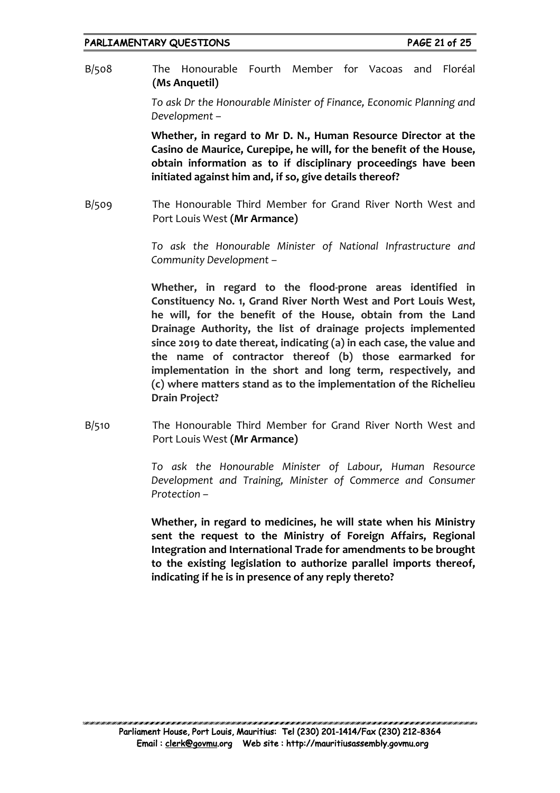B/508 The Honourable Fourth Member for Vacoas and Floréal **(Ms Anquetil)**

> *To ask Dr the Honourable Minister of Finance, Economic Planning and Development –*

> **Whether, in regard to Mr D. N., Human Resource Director at the Casino de Maurice, Curepipe, he will, for the benefit of the House, obtain information as to if disciplinary proceedings have been initiated against him and, if so, give details thereof?**

B/509 The Honourable Third Member for Grand River North West and Port Louis West **(Mr Armance)**

> *To ask the Honourable Minister of National Infrastructure and Community Development –*

> **Whether, in regard to the flood-prone areas identified in Constituency No. 1, Grand River North West and Port Louis West, he will, for the benefit of the House, obtain from the Land Drainage Authority, the list of drainage projects implemented since 2019 to date thereat, indicating (a) in each case, the value and the name of contractor thereof (b) those earmarked for implementation in the short and long term, respectively, and (c) where matters stand as to the implementation of the Richelieu Drain Project?**

B/510 The Honourable Third Member for Grand River North West and Port Louis West **(Mr Armance)**

> *To ask the Honourable Minister of Labour, Human Resource Development and Training, Minister of Commerce and Consumer Protection –*

> **Whether, in regard to medicines, he will state when his Ministry sent the request to the Ministry of Foreign Affairs, Regional Integration and International Trade for amendments to be brought to the existing legislation to authorize parallel imports thereof, indicating if he is in presence of any reply thereto?**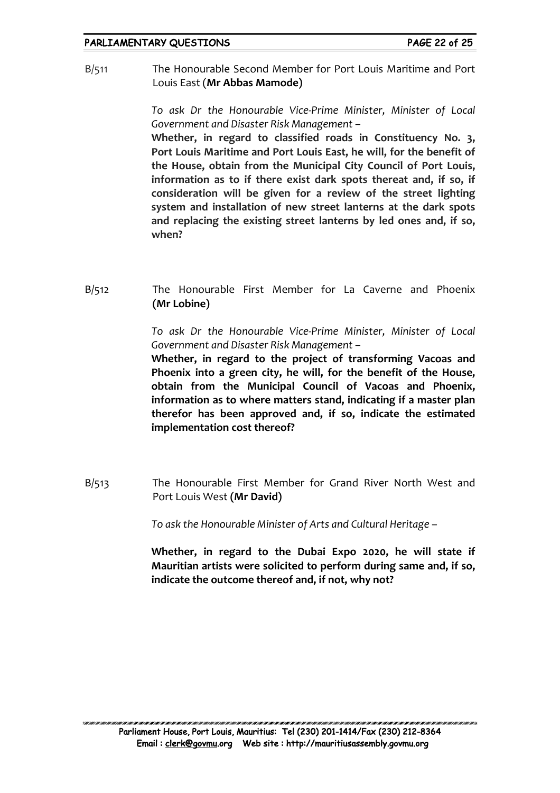B/511 The Honourable Second Member for Port Louis Maritime and Port Louis East (**Mr Abbas Mamode)**

> *To ask Dr the Honourable Vice-Prime Minister, Minister of Local Government and Disaster Risk Management –*

> **Whether, in regard to classified roads in Constituency No. 3, Port Louis Maritime and Port Louis East, he will, for the benefit of the House, obtain from the Municipal City Council of Port Louis, information as to if there exist dark spots thereat and, if so, if consideration will be given for a review of the street lighting system and installation of new street lanterns at the dark spots and replacing the existing street lanterns by led ones and, if so, when?**

B/512 The Honourable First Member for La Caverne and Phoenix **(Mr Lobine)**

> *To ask Dr the Honourable Vice-Prime Minister, Minister of Local Government and Disaster Risk Management –*

> **Whether, in regard to the project of transforming Vacoas and Phoenix into a green city, he will, for the benefit of the House, obtain from the Municipal Council of Vacoas and Phoenix, information as to where matters stand, indicating if a master plan therefor has been approved and, if so, indicate the estimated implementation cost thereof?**

B/513 The Honourable First Member for Grand River North West and Port Louis West **(Mr David)**

*To ask the Honourable Minister of Arts and Cultural Heritage –*

**Whether, in regard to the Dubai Expo 2020, he will state if Mauritian artists were solicited to perform during same and, if so, indicate the outcome thereof and, if not, why not?**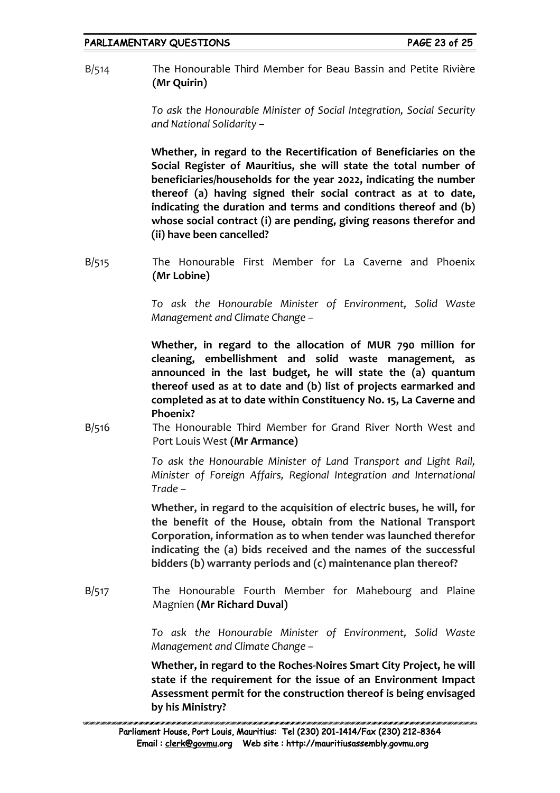B/514 The Honourable Third Member for Beau Bassin and Petite Rivière **(Mr Quirin)**

> *To ask the Honourable Minister of Social Integration, Social Security and National Solidarity –*

> **Whether, in regard to the Recertification of Beneficiaries on the Social Register of Mauritius, she will state the total number of beneficiaries/households for the year 2022, indicating the number thereof (a) having signed their social contract as at to date, indicating the duration and terms and conditions thereof and (b) whose social contract (i) are pending, giving reasons therefor and (ii) have been cancelled?**

B/515 The Honourable First Member for La Caverne and Phoenix **(Mr Lobine)**

> *To ask the Honourable Minister of Environment, Solid Waste Management and Climate Change –*

> **Whether, in regard to the allocation of MUR 790 million for cleaning, embellishment and solid waste management, as announced in the last budget, he will state the (a) quantum thereof used as at to date and (b) list of projects earmarked and completed as at to date within Constituency No. 15, La Caverne and Phoenix?**

B/516 The Honourable Third Member for Grand River North West and Port Louis West **(Mr Armance)**

> *To ask the Honourable Minister of Land Transport and Light Rail, Minister of Foreign Affairs, Regional Integration and International Trade –*

> **Whether, in regard to the acquisition of electric buses, he will, for the benefit of the House, obtain from the National Transport Corporation, information as to when tender was launched therefor indicating the (a) bids received and the names of the successful bidders (b) warranty periods and (c) maintenance plan thereof?**

B/517 The Honourable Fourth Member for Mahebourg and Plaine Magnien **(Mr Richard Duval)**

> *To ask the Honourable Minister of Environment, Solid Waste Management and Climate Change –*

> **Whether, in regard to the Roches-Noires Smart City Project, he will state if the requirement for the issue of an Environment Impact Assessment permit for the construction thereof is being envisaged by his Ministry?**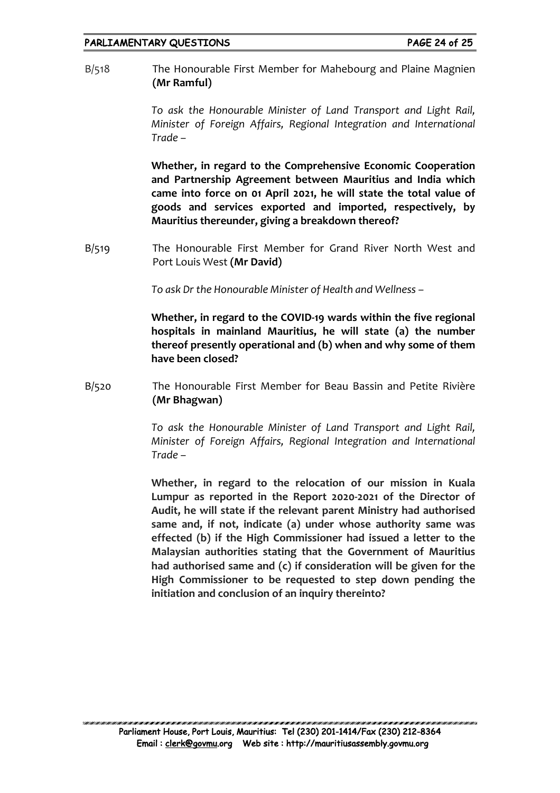#### PARLIAMENTARY QUESTIONS FAGE 24 of 25

B/518 The Honourable First Member for Mahebourg and Plaine Magnien **(Mr Ramful)**

> *To ask the Honourable Minister of Land Transport and Light Rail, Minister of Foreign Affairs, Regional Integration and International Trade –*

> **Whether, in regard to the Comprehensive Economic Cooperation and Partnership Agreement between Mauritius and India which came into force on 01 April 2021, he will state the total value of goods and services exported and imported, respectively, by Mauritius thereunder, giving a breakdown thereof?**

B/519 The Honourable First Member for Grand River North West and Port Louis West **(Mr David)**

*To ask Dr the Honourable Minister of Health and Wellness –*

**Whether, in regard to the COVID-19 wards within the five regional hospitals in mainland Mauritius, he will state (a) the number thereof presently operational and (b) when and why some of them have been closed?**

B/520 The Honourable First Member for Beau Bassin and Petite Rivière **(Mr Bhagwan)**

> *To ask the Honourable Minister of Land Transport and Light Rail, Minister of Foreign Affairs, Regional Integration and International Trade –*

> **Whether, in regard to the relocation of our mission in Kuala Lumpur as reported in the Report 2020-2021 of the Director of Audit, he will state if the relevant parent Ministry had authorised same and, if not, indicate (a) under whose authority same was effected (b) if the High Commissioner had issued a letter to the Malaysian authorities stating that the Government of Mauritius had authorised same and (c) if consideration will be given for the High Commissioner to be requested to step down pending the initiation and conclusion of an inquiry thereinto?**